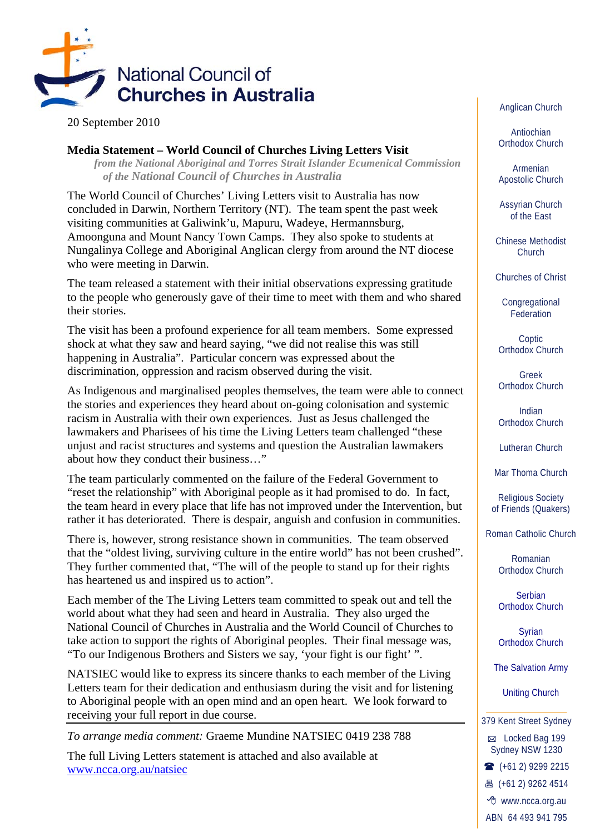

20 September 2010

## **Media Statement – World Council of Churches Living Letters Visit**

*from the National Aboriginal and Torres Strait Islander Ecumenical Commission of the National Council of Churches in Australia* 

The World Council of Churches' Living Letters visit to Australia has now concluded in Darwin, Northern Territory (NT). The team spent the past week visiting communities at Galiwink'u, Mapuru, Wadeye, Hermannsburg, Amoonguna and Mount Nancy Town Camps. They also spoke to students at Nungalinya College and Aboriginal Anglican clergy from around the NT diocese who were meeting in Darwin.

The team released a statement with their initial observations expressing gratitude to the people who generously gave of their time to meet with them and who shared their stories.

The visit has been a profound experience for all team members. Some expressed shock at what they saw and heard saying, "we did not realise this was still happening in Australia". Particular concern was expressed about the discrimination, oppression and racism observed during the visit.

As Indigenous and marginalised peoples themselves, the team were able to connect the stories and experiences they heard about on-going colonisation and systemic racism in Australia with their own experiences. Just as Jesus challenged the lawmakers and Pharisees of his time the Living Letters team challenged "these unjust and racist structures and systems and question the Australian lawmakers about how they conduct their business…"

The team particularly commented on the failure of the Federal Government to "reset the relationship" with Aboriginal people as it had promised to do. In fact, the team heard in every place that life has not improved under the Intervention, but rather it has deteriorated. There is despair, anguish and confusion in communities.

There is, however, strong resistance shown in communities. The team observed that the "oldest living, surviving culture in the entire world" has not been crushed". They further commented that, "The will of the people to stand up for their rights has heartened us and inspired us to action".

Each member of the The Living Letters team committed to speak out and tell the world about what they had seen and heard in Australia. They also urged the National Council of Churches in Australia and the World Council of Churches to take action to support the rights of Aboriginal peoples. Their final message was, "To our Indigenous Brothers and Sisters we say, 'your fight is our fight' ".

NATSIEC would like to express its sincere thanks to each member of the Living Letters team for their dedication and enthusiasm during the visit and for listening to Aboriginal people with an open mind and an open heart. We look forward to receiving your full report in due course.

*To arrange media comment:* Graeme Mundine NATSIEC 0419 238 788

The full Living Letters statement is attached and also available at www.ncca.org.au/natsiec

Anglican Church

Antiochian Orthodox Church

Armenian Apostolic Church

Assyrian Church of the East

Chinese Methodist Church

Churches of Christ

**Congregational** Federation

**Coptic** Orthodox Church

Greek Orthodox Church

Indian Orthodox Church

Lutheran Church

Mar Thoma Church

Religious Society of Friends (Quakers)

Roman Catholic Church

Romanian Orthodox Church

Serbian Orthodox Church

Syrian Orthodox Church

The Salvation Army

Uniting Church

379 Kent Street Sydney

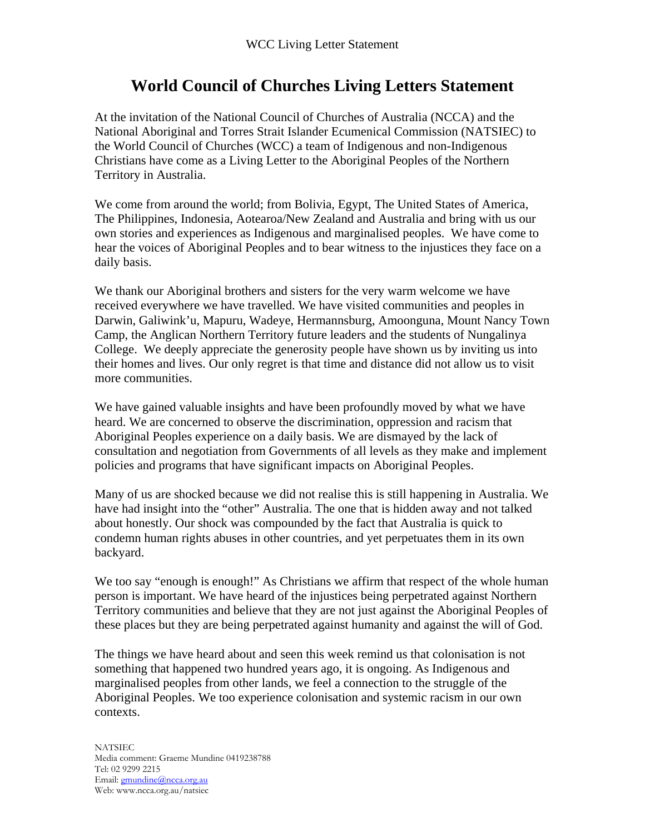## **World Council of Churches Living Letters Statement**

At the invitation of the National Council of Churches of Australia (NCCA) and the National Aboriginal and Torres Strait Islander Ecumenical Commission (NATSIEC) to the World Council of Churches (WCC) a team of Indigenous and non-Indigenous Christians have come as a Living Letter to the Aboriginal Peoples of the Northern Territory in Australia.

We come from around the world; from Bolivia, Egypt, The United States of America, The Philippines, Indonesia, Aotearoa/New Zealand and Australia and bring with us our own stories and experiences as Indigenous and marginalised peoples. We have come to hear the voices of Aboriginal Peoples and to bear witness to the injustices they face on a daily basis.

We thank our Aboriginal brothers and sisters for the very warm welcome we have received everywhere we have travelled. We have visited communities and peoples in Darwin, Galiwink'u, Mapuru, Wadeye, Hermannsburg, Amoonguna, Mount Nancy Town Camp, the Anglican Northern Territory future leaders and the students of Nungalinya College. We deeply appreciate the generosity people have shown us by inviting us into their homes and lives. Our only regret is that time and distance did not allow us to visit more communities.

We have gained valuable insights and have been profoundly moved by what we have heard. We are concerned to observe the discrimination, oppression and racism that Aboriginal Peoples experience on a daily basis. We are dismayed by the lack of consultation and negotiation from Governments of all levels as they make and implement policies and programs that have significant impacts on Aboriginal Peoples.

Many of us are shocked because we did not realise this is still happening in Australia. We have had insight into the "other" Australia. The one that is hidden away and not talked about honestly. Our shock was compounded by the fact that Australia is quick to condemn human rights abuses in other countries, and yet perpetuates them in its own backyard.

We too say "enough is enough!" As Christians we affirm that respect of the whole human person is important. We have heard of the injustices being perpetrated against Northern Territory communities and believe that they are not just against the Aboriginal Peoples of these places but they are being perpetrated against humanity and against the will of God.

The things we have heard about and seen this week remind us that colonisation is not something that happened two hundred years ago, it is ongoing. As Indigenous and marginalised peoples from other lands, we feel a connection to the struggle of the Aboriginal Peoples. We too experience colonisation and systemic racism in our own contexts.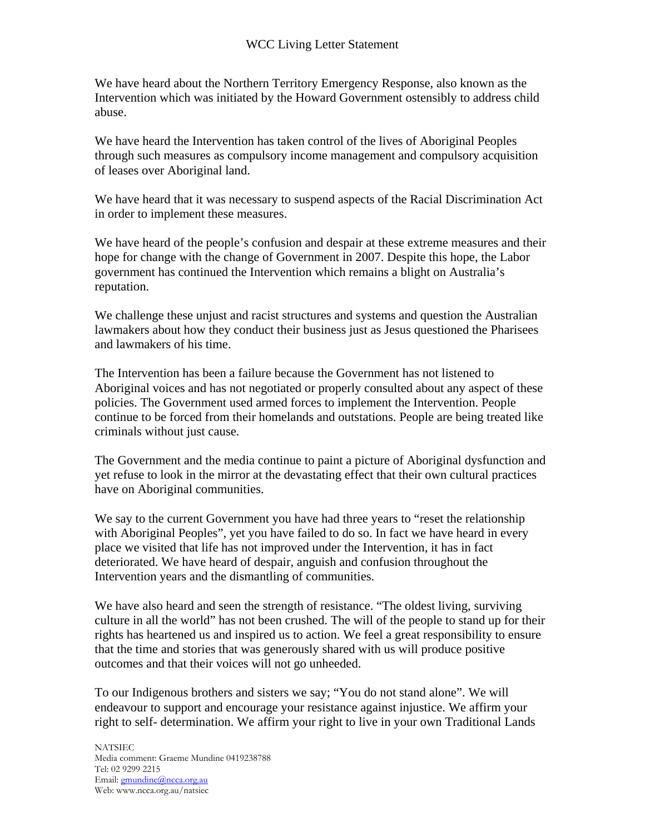We have heard about the Northern Territory Emergency Response, also known as the Intervention which was initiated by the Howard Government ostensibly to address child abuse.

We have heard the Intervention has taken control of the lives of Aboriginal Peoples through such measures as compulsory income management and compulsory acquisition of leases over Aboriginal land.

We have heard that it was necessary to suspend aspects of the Racial Discrimination Act in order to implement these measures.

We have heard of the people's confusion and despair at these extreme measures and their hope for change with the change of Government in 2007. Despite this hope, the Labor government has continued the Intervention which remains a blight on Australia's reputation.

We challenge these unjust and racist structures and systems and question the Australian lawmakers about how they conduct their business just as Jesus questioned the Pharisees and lawmakers of his time.

The Intervention has been a failure because the Government has not listened to Aboriginal voices and has not negotiated or properly consulted about any aspect of these policies. The Government used armed forces to implement the Intervention. People continue to be forced from their homelands and outstations. People are being treated like criminals without just cause.

The Government and the media continue to paint a picture of Aboriginal dysfunction and yet refuse to look in the mirror at the devastating effect that their own cultural practices have on Aboriginal communities.

We say to the current Government you have had three years to "reset the relationship" with Aboriginal Peoples", yet you have failed to do so. In fact we have heard in every place we visited that life has not improved under the Intervention, it has in fact deteriorated. We have heard of despair, anguish and confusion throughout the Intervention years and the dismantling of communities.

We have also heard and seen the strength of resistance. "The oldest living, surviving culture in all the world" has not been crushed. The will of the people to stand up for their rights has heartened us and inspired us to action. We feel a great responsibility to ensure that the time and stories that was generously shared with us will produce positive outcomes and that their voices will not go unheeded.

To our Indigenous brothers and sisters we say; "You do not stand alone". We will endeavour to support and encourage your resistance against injustice. We affirm your right to self- determination. We affirm your right to live in your own Traditional Lands